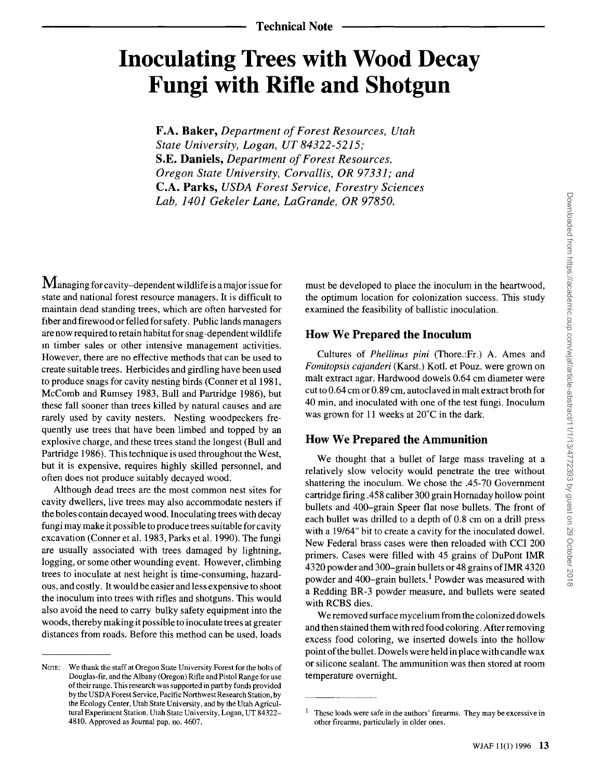# **Inoculating Trees with Wood Decay Fungi with Rifle and Shotgun**

**F.A. Baker, Department of Forest Resources, Utah State University, Logan, UT 84322-5215; S.E. Daniels, Department of Forest Resources, Oregon State University, Corvallis, OR 97331; and C.A. Parks, USDA Forest Service, Forestry Sciences Lab, 1401 Gekeler Lane, LaGrande, OR 97850.** 

**M** anaging for cavity–dependent wildlife is a major issue for state and national forest resource managers. It is difficult to **maintain dead standing trees, which are often harvested for fiber and firewood or felled for safety. Public lands managers are now required to retain habitat for snag-dependent wildlife •n timber sales or other intensive management activities. However, there are no effective methods that can be used to create suitable trees. Herbicides and girdling have been used to produce snags for cavity nesting birds (Conner et al 1981, McComb and Rumsey 1983, Bull and Partridge 1986), but these fall sooner than trees killed by natural causes and are rarely used by cavity nesters. Nesting woodpeckers frequently use trees that have been limbed and topped by an explosive charge, and these trees stand the longest (Bull and Partridge 1986). This technique is used throughout the West, but it is expensive, requires highly skilled personnel, and often does not produce suitably decayed wood.** 

**Although dead trees are the most common nest sites for cavity dwellers, live trees may also accommodate nesters if the boles contain decayed wood. Inoculating trees with decay fungi may make it possible to produce trees suitable for cavity excavation (Conner et al. 1983, Parks et al. 1990). The fungi are usually associated with trees damaged by lightning, logging, or some other wounding event. However, climbing trees to inoculate at nest height is time-consuming, hazardous, and costly. It would be easier and less expensive to shoot the inoculum into trees with rifles and shotguns. This would also avoid the need to carry bulky safety equipment into the woods, thereby making it possible to inoculate trees at greater distances from roads. Before this method can be used, loads** 

**must be developed to place the inoculum in the heartwood, the optimum location for colonization success. This study examined the feasibility of ballistic inoculation.** 

## **How We Prepared the Inoculum**

**Cultures of Phellinus pini (Thore.:Fr.) A. Ames and Fomitopsis cajanderi (Karst.) Kotl. et Pouz. were grown on malt extract agar. Hardwood dowels 0.64 cm diameter were**  cut to 0.64 cm or 0.89 cm, autoclaved in malt extract broth for **40 min, and inoculated with one of the test fungi. Inoculum**  was grown for 11 weeks at 20°C in the dark.

## **How We Prepared the Ammunition**

**We thought that a bullet of large mass traveling at a relatively slow velocity would penetrate the tree without shattering the inoculum. We chose the .45-70 Government cartridge firing .458 caliber 300 grain Hornaday hollow point bullets and 400-grain Speer flat nose bullets. The front of each bullet was drilled to a depth of 0.8 cm on a drill press with a 19/64" bit to create a cavity for the inoculated dowel. New Federal brass cases were then reloaded with CCI 200 primers. Cases were filled with 45 grains of DuPont IMR 4320 powder and 300-grain bullets or 48 grains of IMR 4320 powder and 400-grain bullets. 1 Powder was measured with a Redding BR-3 powder measure, and bullets were seated with RCBS dies.** 

**We removed surface mycelium from the colonized dowels and then stained them with red food coloring. After removing excess food coloring, we inserted dowels into the hollow point of the bullet. Dowels were held in place with candle wax or silicone sealant. The ammunition was then stored at room temperature overnight.** 

NOTE: We thank the staff at Oregon State University Forest for the bolts of **Douglas-fir, and the Albany (Oregon) Rifle and Pistol Range for use of their range. This research was supported inpart by funds provided by the USDA Forest Service, Pacific Northwest Research Station, by the Ecology Center, Utah State University, and by the Utah Agricultural Experiment Station, Utah State University, Logan, UT 84322- 4810. Approved as Journal pap. no. 4607.** 

**These loads were safe in the authors' firearms. They may be excessive in other firearms, particularly in older ones.**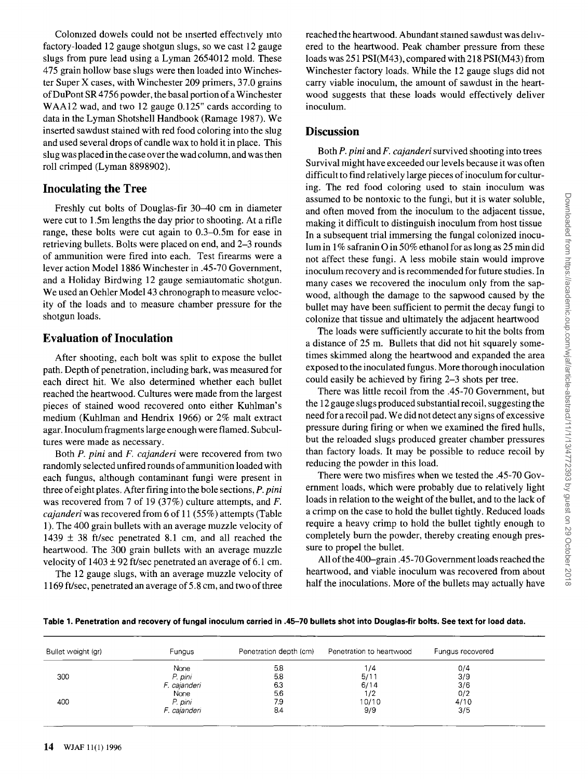**Colomzed dowels could not be •nserted effectively •nto factory-loaded 12 gauge shotgun slugs, so we cast 12 gauge slugs from pure lead using a Lyman 2654012 mold. These 475 grain hollow base slugs were then loaded into Winchester Super X cases, with Winchester 209 primers, 37.0 grains of DuPont SR 4756 powder, the basal portion of a Winchester WAA12 wad, and two 12 gauge 0.125" cards according to data in the Lyman Shotshell Handbook (Ramage 1987). We inserted sawdust stained with red food coloring into the slug and used several drops of candle wax to hold it in place. This slug was placed in the case over the wad column, and was then roll crimped (Lyman 8898902).** 

#### **Inoculating the Tree**

**Freshly cut bolts of Douglas-fir 30-40 cm in diameter were cut to 1.5m lengths the day prior to shooting. At a rifle range, these bolts were cut again to 0.3-0.5m for ease in retrieving bullets. Bolts were placed on end, and 2-3 rounds of ammunition were fired into each. Test firearms were a lever action Model 1886 Winchester in .45-70 Government, and a Holiday Birdwing 12 gauge semiautomatic shotgun. We used an Oehler Model 43 chronograph to measure velocity of the loads and to measure chamber pressure for the shotgun loads.** 

## **Evaluation of Inoculation**

**After shooting, each bolt was split to expose the bullet path. Depth of penetration, including bark, was measured for each direct hit. We also determined whether each bullet reached the heartwood. Cultures were made from the largest pieces of stained wood recovered onto either Kuhlman's medium (Kuhlman and Hendrix 1966) or 2% malt extract agar. Inoculum fragments large enough were flamed. Subcultures were made as necessary.** 

**Both P. pini and F. cajanderi were recovered from two randomly selected unfired rounds of ammunition loaded with each fungus, although contaminant fungi were present in three of eight plates. After firing into the bole sections, P. pini was recovered from 7 of 19 (37%) culture attempts, and F. cajanderi was recovered from 6 of 11 (55%) attempts (Table 1). The 400 grain bullets with an average muzzle velocity of 1439 + 38 ft/sec penetrated 8.1 cm, and all reached the heartwood. The 300 grain bullets with an average muzzle velocity of 1403 + 92 ft/sec penetrated an average of 6.1 cm.** 

**The 12 gauge slugs, with an average muzzle velocity of 1169 ft/sec, penetrated an average of 5.8 cm, and two of three** 

reached the heartwood. Abundant stained sawdust was deliv**ered to the heartwood. Peak chamber pressure from these loads was 251 PSI(M43), compared with 218 PSI(M43) from Winchester factory loads. While the 12 gauge slugs did not carry viable inoculum, the amount of sawdust in the heartwood suggests that these loads would effectively deliver inoculum.** 

## **Discussion**

**Both P. pini and F. cajanderi survived shooting into trees Survival might have exceeded our levels because it was often difficult to find relatively large pieces of inoculum for culturing. The red food coloring used to stain inoculum was assumed to be nontoxic to the fungi, but it is water soluble, and often moved from the inoculum to the adjacent tissue, making it difficult to distinguish inoculum from host tissue In a subsequent trial immersing the fungal colonized inoculum in 1% safranin O in 50% ethanol for as long as 25 min did not affect these fungi. A less mobile stain would improve inoculum recovery and is recommended for future studies. In many cases we recovered the inoculum only from the sapwood, although the damage to the sapwood caused by the**  bullet may have been sufficient to permit the decay fungi to **colonize that tissue and ultimately the adjacent heartwood** 

**The loads were sufficiently accurate to hit the bolts from a distance of 25 m. Bullets that did not hit squarely sometimes skimmed along the heartwood and expanded the area exposed to the inoculated fungus. More thorough inoculation could easily be achieved by firing 2-3 shots per tree.** 

**There was little recoil from the .45-70 Government, but the 12 gauge slugs produced substantial recoil, suggesting the need for a recoil pad. We did not detect any signs of excessive pressure during firing or when we examined the fired hulls, but the reloaded slugs produced greater chamber pressures than factory loads. It may be possible to reduce recoil by reducing the powder in this load.** 

**There were two misfires when we tested the .45-70 Government loads, which were probably due to relatively light loads in relation to the weight of the bullet, and to the lack of a crimp on the case to hold the bullet tightly. Reduced loads require a heavy crimp to hold the bullet tightly enough to completely burn the powder, thereby creating enough pressure to propel the bullet.** 

**All of the 400-grain .45-70 Government loads reached the heartwood, and viable inoculum was recovered from about half the inoculations. More of the bullets may actually have** 

|  | Table 1. Penetration and recovery of fungal inoculum carried in .45–70 bullets shot into Douglas-fir bolts. See text for load data. |
|--|-------------------------------------------------------------------------------------------------------------------------------------|
|--|-------------------------------------------------------------------------------------------------------------------------------------|

| Bullet weight (gr)     | <b>Fungus</b> | Penetration depth (cm) | Penetration to heartwood | Fungus recovered |
|------------------------|---------------|------------------------|--------------------------|------------------|
|                        | None          | 5.8                    | 1/4                      | 0/4              |
| 300                    | P. pini       | 5.8                    | 5/11                     | 3/9              |
|                        | F. cajanderi  | 6.3                    | 6/14                     | 3/6              |
| None<br>P. pini<br>400 |               | 5.6                    | 1/2                      | 0/2              |
|                        |               | 7.9                    | 10/10                    | 4/10             |
|                        | F. cajanderi  | 8.4                    | 9/9                      | 3/5              |